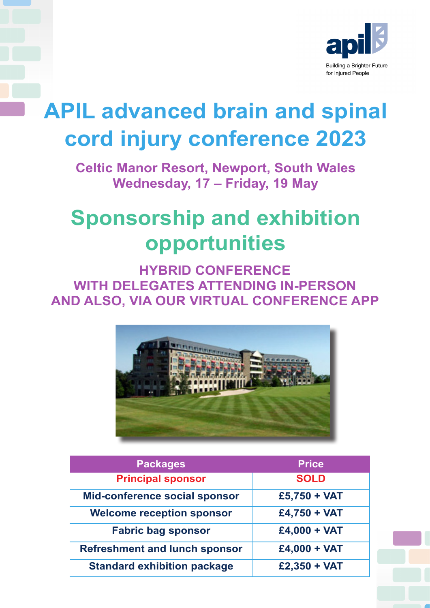

## **APIL advanced brain and spinal cord injury conference 2023**

**Celtic Manor Resort, Newport, South Wales Wednesday, 17 – Friday, 19 May**

## **Sponsorship and exhibition opportunities**

**HYBRID CONFERENCE WITH DELEGATES ATTENDING IN-PERSON AND ALSO, VIA OUR VIRTUAL CONFERENCE APP**



| <b>Packages</b>                      | <b>Price</b>   |
|--------------------------------------|----------------|
| <b>Principal sponsor</b>             | <b>SOLD</b>    |
| <b>Mid-conference social sponsor</b> | $£5,750 + VAT$ |
| <b>Welcome reception sponsor</b>     | $£4,750 + VAT$ |
| <b>Fabric bag sponsor</b>            | $£4,000 + VAT$ |
| <b>Refreshment and lunch sponsor</b> | $£4,000 + VAT$ |
| <b>Standard exhibition package</b>   | $£2,350 + VAT$ |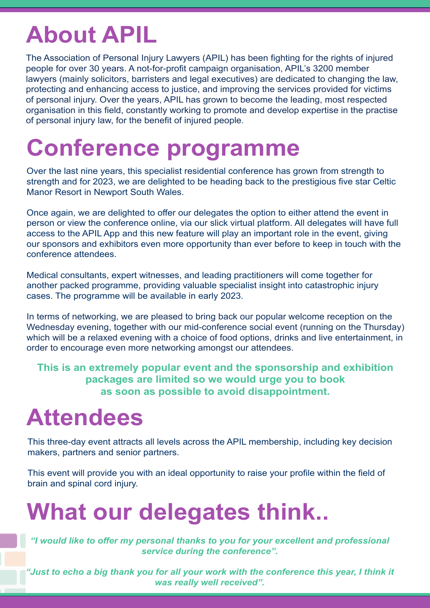## **About APIL**

The Association of Personal Injury Lawyers (APIL) has been fighting for the rights of injured people for over 30 years. A not-for-profit campaign organisation, APIL's 3200 member lawyers (mainly solicitors, barristers and legal executives) are dedicated to changing the law, protecting and enhancing access to justice, and improving the services provided for victims of personal injury. Over the years, APIL has grown to become the leading, most respected organisation in this field, constantly working to promote and develop expertise in the practise of personal injury law, for the benefit of injured people.

## **Conference programme**

Over the last nine years, this specialist residential conference has grown from strength to strength and for 2023, we are delighted to be heading back to the prestigious five star Celtic Manor Resort in Newport South Wales.

Once again, we are delighted to offer our delegates the option to either attend the event in person or view the conference online, via our slick virtual platform. All delegates will have full access to the APIL App and this new feature will play an important role in the event, giving our sponsors and exhibitors even more opportunity than ever before to keep in touch with the conference attendees.

Medical consultants, expert witnesses, and leading practitioners will come together for another packed programme, providing valuable specialist insight into catastrophic injury cases. The programme will be available in early 2023.

In terms of networking, we are pleased to bring back our popular welcome reception on the Wednesday evening, together with our mid-conference social event (running on the Thursday) which will be a relaxed evening with a choice of food options, drinks and live entertainment, in order to encourage even more networking amongst our attendees.

**This is an extremely popular event and the sponsorship and exhibition packages are limited so we would urge you to book as soon as possible to avoid disappointment.**

# **Attendees**

This three-day event attracts all levels across the APIL membership, including key decision makers, partners and senior partners.

This event will provide you with an ideal opportunity to raise your profile within the field of brain and spinal cord injury.

## **What our delegates think..**

*"I would like to offer my personal thanks to you for your excellent and professional service during the conference".*

"Just to echo a big thank you for all your work with the conference this year, I think it *was really well received".*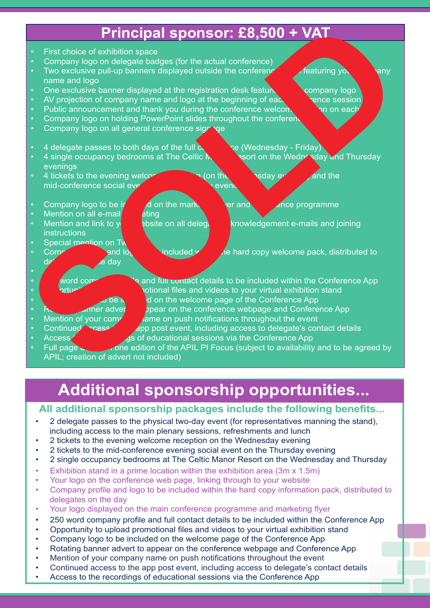### **Principal sponsor: £8,500 + VAT**

- First choice of exhibition space • Company logo on delegate badges (for the actual conference) Two exclusive pull-up banners displayed outside the conference room featuring your company name and logo • One exclusive banner displayed at the registration desk featuring  $\blacksquare$  company logo AV projection of company name and logo at the beginning of each conference session • Public announcement and thank you during the conference welcome section on each • Company logo on holding PowerPoint slides throughout the conferent Company logo on all general conference signage • 4 delegate passes to both days of the full  $\alpha$  and  $\alpha$  (Wednesday - Friday) • 4 single occupancy bedrooms at The Celtic  $\mathbb{N}$  esort on the Wednesday and Thursday evenings • 4 tickets to the evening welcome reception (on the  $\sim$  sday event and the mid-conference social event (on the Thursday event of the Thursday event • Company logo to be included on the marketing flyer and conference programme Mention on all e-mail  $\mathbf{r}$  eting • Mention and link to youth we be site on all delegated acknowledgement e-mails and joining **instructions** Special mention on Tw • Company profile and logon to be included with the hard copy welcome pack, distributed to device the day day • word company and full contact details to be included within the Conference App otional files and videos to your virtual exhibition stand o be in the welcome page of the Conference App • Rotating banner advert to appear on the conference webpage and Conference App<br>• Mention of your commettions on push notifications throughout the event ame on push notifications throughout the event Continued  $\sim$  cess app post event, including access to delegate's contact details • Access **of educational sessions via the Conference App Example to the control of a control of a control of a control of a control of a control of a control of a control of a control of a control of a control of a control of a control of a control of a control of a control of** 
	- Full page and one edition of the APIL PI Focus (subject to availability and to be agreed by

### **Additional sponsorship opportunities...**

#### **All additional sponsorship packages include the following benefits...**

- 2 delegate passes to the physical two-day event (for representatives manning the stand), including access to the main plenary sessions, refreshments and lunch
- 2 tickets to the evening welcome reception on the Wednesday evening

- 2 tickets to the mid-conference evening social event on the Thursday evening
- 2 single occupancy bedrooms at The Celtic Manor Resort on the Wednesday and Thursday
- Exhibition stand in a prime location within the exhibition area (3m x 1.5m)
- Your logo on the conference web page, linking through to your website
- Company profile and logo to be included within the hard copy information pack, distributed to delegates on the day
- Your logo displayed on the main conference programme and marketing flyer
- 250 word company profile and full contact details to be included within the Conference App
- Opportunity to upload promotional files and videos to your virtual exhibition stand
- Company logo to be included on the welcome page of the Conference App
- Rotating banner advert to appear on the conference webpage and Conference App
- Mention of your company name on push notifications throughout the event
- Continued access to the app post event, including access to delegate's contact details
- Access to the recordings of educational sessions via the Conference App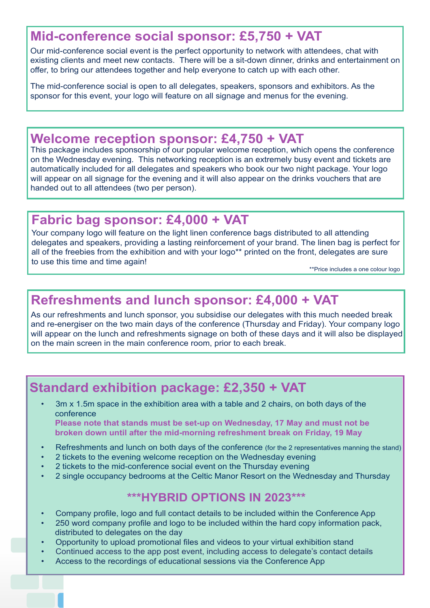### **Mid-conference social sponsor: £5,750 + VAT**

Our mid-conference social event is the perfect opportunity to network with attendees, chat with existing clients and meet new contacts. There will be a sit-down dinner, drinks and entertainment on offer, to bring our attendees together and help everyone to catch up with each other.

The mid-conference social is open to all delegates, speakers, sponsors and exhibitors. As the sponsor for this event, your logo will feature on all signage and menus for the evening.

#### **Welcome reception sponsor: £4,750 + VAT**

This package includes sponsorship of our popular welcome reception, which opens the conference on the Wednesday evening. This networking reception is an extremely busy event and tickets are automatically included for all delegates and speakers who book our two night package. Your logo will appear on all signage for the evening and it will also appear on the drinks vouchers that are handed out to all attendees (two per person).

### **Fabric bag sponsor: £4,000 + VAT**

Your company logo will feature on the light linen conference bags distributed to all attending delegates and speakers, providing a lasting reinforcement of your brand. The linen bag is perfect for all of the freebies from the exhibition and with your logo\*\* printed on the front, delegates are sure to use this time and time again!

\*\*Price includes a one colour logo

### **Refreshments and lunch sponsor: £4,000 + VAT**

As our refreshments and lunch sponsor, you subsidise our delegates with this much needed break and re-energiser on the two main days of the conference (Thursday and Friday). Your company logo will appear on the lunch and refreshments signage on both of these days and it will also be displayed on the main screen in the main conference room, prior to each break.

### **Standard exhibition package: £2,350 + VAT**

 • 3m x 1.5m space in the exhibition area with a table and 2 chairs, on both days of the conference **Please note that stands must be set-up on Wednesday, 17 May and must not be** 

- **broken down until after the mid-morning refreshment break on Friday, 19 May**
- Refreshments and lunch on both days of the conference (for the 2 representatives manning the stand)
- 2 tickets to the evening welcome reception on the Wednesday evening
- 2 tickets to the mid-conference social event on the Thursday evening
- 2 single occupancy bedrooms at the Celtic Manor Resort on the Wednesday and Thursday

#### **\*\*\*HYBRID OPTIONS IN 2023\*\*\***

- Company profile, logo and full contact details to be included within the Conference App
- 250 word company profile and logo to be included within the hard copy information pack, distributed to delegates on the day
- Opportunity to upload promotional files and videos to your virtual exhibition stand
- Continued access to the app post event, including access to delegate's contact details
- Access to the recordings of educational sessions via the Conference App